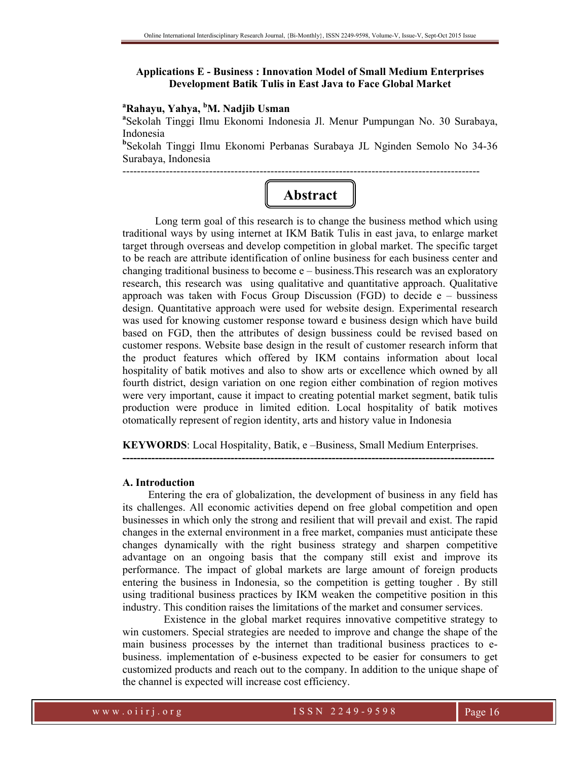## **Applications E - Business : Innovation Model of Small Medium Enterprises Development Batik Tulis in East Java to Face Global Market**

# **<sup>a</sup>Rahayu, Yahya, <sup>b</sup>M. Nadjib Usman**

**a** Sekolah Tinggi Ilmu Ekonomi Indonesia Jl. Menur Pumpungan No. 30 Surabaya, Indonesia

**b** Sekolah Tinggi Ilmu Ekonomi Perbanas Surabaya JL Nginden Semolo No 34-36 Surabaya, Indonesia

---------------------------------------------------------------------------------------------------

# **Abstract**

Long term goal of this research is to change the business method which using traditional ways by using internet at IKM Batik Tulis in east java, to enlarge market target through overseas and develop competition in global market. The specific target to be reach are attribute identification of online business for each business center and changing traditional business to become e – business.This research was an exploratory research, this research was using qualitative and quantitative approach. Qualitative approach was taken with Focus Group Discussion (FGD) to decide  $e -$  bussiness design. Quantitative approach were used for website design. Experimental research was used for knowing customer response toward e business design which have build based on FGD, then the attributes of design bussiness could be revised based on customer respons. Website base design in the result of customer research inform that the product features which offered by IKM contains information about local hospitality of batik motives and also to show arts or excellence which owned by all fourth district, design variation on one region either combination of region motives were very important, cause it impact to creating potential market segment, batik tulis production were produce in limited edition. Local hospitality of batik motives otomatically represent of region identity, arts and history value in Indonesia

**KEYWORDS**: Local Hospitality, Batik, e –Business, Small Medium Enterprises.

**-------------------------------------------------------------------------------------------------------** 

#### **A. Introduction**

Entering the era of globalization, the development of business in any field has its challenges. All economic activities depend on free global competition and open businesses in which only the strong and resilient that will prevail and exist. The rapid changes in the external environment in a free market, companies must anticipate these changes dynamically with the right business strategy and sharpen competitive advantage on an ongoing basis that the company still exist and improve its performance. The impact of global markets are large amount of foreign products entering the business in Indonesia, so the competition is getting tougher . By still using traditional business practices by IKM weaken the competitive position in this industry. This condition raises the limitations of the market and consumer services.

 Existence in the global market requires innovative competitive strategy to win customers. Special strategies are needed to improve and change the shape of the main business processes by the internet than traditional business practices to ebusiness. implementation of e-business expected to be easier for consumers to get customized products and reach out to the company. In addition to the unique shape of the channel is expected will increase cost efficiency.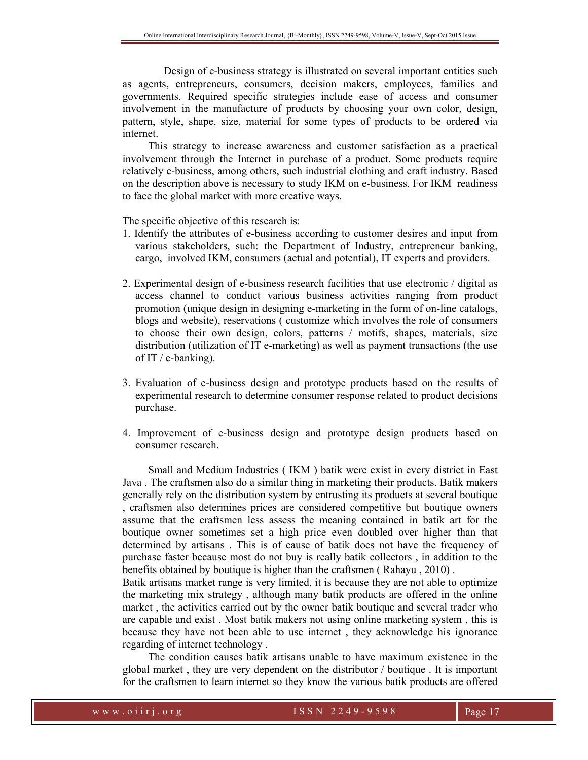Design of e-business strategy is illustrated on several important entities such as agents, entrepreneurs, consumers, decision makers, employees, families and governments. Required specific strategies include ease of access and consumer involvement in the manufacture of products by choosing your own color, design, pattern, style, shape, size, material for some types of products to be ordered via internet.

This strategy to increase awareness and customer satisfaction as a practical involvement through the Internet in purchase of a product. Some products require relatively e-business, among others, such industrial clothing and craft industry. Based on the description above is necessary to study IKM on e-business. For IKM readiness to face the global market with more creative ways.

The specific objective of this research is:

- 1. Identify the attributes of e-business according to customer desires and input from various stakeholders, such: the Department of Industry, entrepreneur banking, cargo, involved IKM, consumers (actual and potential), IT experts and providers.
- 2. Experimental design of e-business research facilities that use electronic / digital as access channel to conduct various business activities ranging from product promotion (unique design in designing e-marketing in the form of on-line catalogs, blogs and website), reservations ( customize which involves the role of consumers to choose their own design, colors, patterns / motifs, shapes, materials, size distribution (utilization of IT e-marketing) as well as payment transactions (the use of IT / e-banking).
- 3. Evaluation of e-business design and prototype products based on the results of experimental research to determine consumer response related to product decisions purchase.
- 4. Improvement of e-business design and prototype design products based on consumer research.

Small and Medium Industries ( IKM ) batik were exist in every district in East Java . The craftsmen also do a similar thing in marketing their products. Batik makers generally rely on the distribution system by entrusting its products at several boutique , craftsmen also determines prices are considered competitive but boutique owners assume that the craftsmen less assess the meaning contained in batik art for the boutique owner sometimes set a high price even doubled over higher than that determined by artisans . This is of cause of batik does not have the frequency of purchase faster because most do not buy is really batik collectors , in addition to the benefits obtained by boutique is higher than the craftsmen ( Rahayu , 2010) .

Batik artisans market range is very limited, it is because they are not able to optimize the marketing mix strategy , although many batik products are offered in the online market , the activities carried out by the owner batik boutique and several trader who are capable and exist . Most batik makers not using online marketing system , this is because they have not been able to use internet , they acknowledge his ignorance regarding of internet technology .

The condition causes batik artisans unable to have maximum existence in the global market , they are very dependent on the distributor / boutique . It is important for the craftsmen to learn internet so they know the various batik products are offered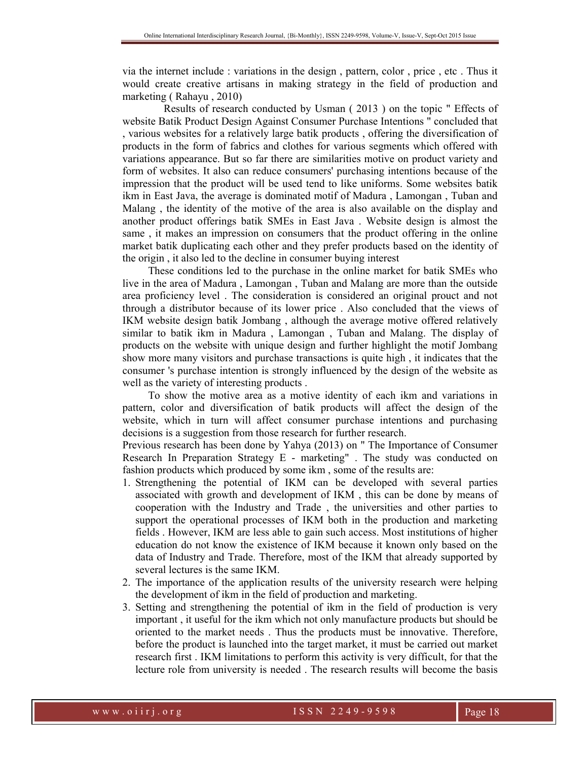via the internet include : variations in the design , pattern, color , price , etc . Thus it would create creative artisans in making strategy in the field of production and marketing ( Rahayu , 2010)

 Results of research conducted by Usman ( 2013 ) on the topic " Effects of website Batik Product Design Against Consumer Purchase Intentions " concluded that , various websites for a relatively large batik products , offering the diversification of products in the form of fabrics and clothes for various segments which offered with variations appearance. But so far there are similarities motive on product variety and form of websites. It also can reduce consumers' purchasing intentions because of the impression that the product will be used tend to like uniforms. Some websites batik ikm in East Java, the average is dominated motif of Madura , Lamongan , Tuban and Malang , the identity of the motive of the area is also available on the display and another product offerings batik SMEs in East Java . Website design is almost the same , it makes an impression on consumers that the product offering in the online market batik duplicating each other and they prefer products based on the identity of the origin , it also led to the decline in consumer buying interest

These conditions led to the purchase in the online market for batik SMEs who live in the area of Madura , Lamongan , Tuban and Malang are more than the outside area proficiency level . The consideration is considered an original prouct and not through a distributor because of its lower price . Also concluded that the views of IKM website design batik Jombang , although the average motive offered relatively similar to batik ikm in Madura , Lamongan , Tuban and Malang. The display of products on the website with unique design and further highlight the motif Jombang show more many visitors and purchase transactions is quite high , it indicates that the consumer 's purchase intention is strongly influenced by the design of the website as well as the variety of interesting products .

To show the motive area as a motive identity of each ikm and variations in pattern, color and diversification of batik products will affect the design of the website, which in turn will affect consumer purchase intentions and purchasing decisions is a suggestion from those research for further research.

Previous research has been done by Yahya (2013) on " The Importance of Consumer Research In Preparation Strategy E - marketing" . The study was conducted on fashion products which produced by some ikm , some of the results are:

- 1. Strengthening the potential of IKM can be developed with several parties associated with growth and development of IKM , this can be done by means of cooperation with the Industry and Trade , the universities and other parties to support the operational processes of IKM both in the production and marketing fields . However, IKM are less able to gain such access. Most institutions of higher education do not know the existence of IKM because it known only based on the data of Industry and Trade. Therefore, most of the IKM that already supported by several lectures is the same IKM.
- 2. The importance of the application results of the university research were helping the development of ikm in the field of production and marketing.
- 3. Setting and strengthening the potential of ikm in the field of production is very important , it useful for the ikm which not only manufacture products but should be oriented to the market needs . Thus the products must be innovative. Therefore, before the product is launched into the target market, it must be carried out market research first . IKM limitations to perform this activity is very difficult, for that the lecture role from university is needed . The research results will become the basis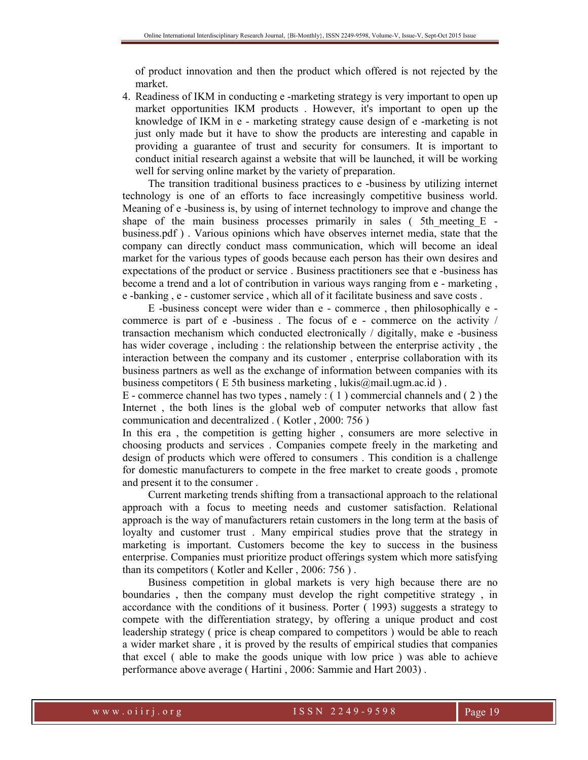of product innovation and then the product which offered is not rejected by the market.

4. Readiness of IKM in conducting e -marketing strategy is very important to open up market opportunities IKM products . However, it's important to open up the knowledge of IKM in e - marketing strategy cause design of e -marketing is not just only made but it have to show the products are interesting and capable in providing a guarantee of trust and security for consumers. It is important to conduct initial research against a website that will be launched, it will be working well for serving online market by the variety of preparation.

The transition traditional business practices to e -business by utilizing internet technology is one of an efforts to face increasingly competitive business world. Meaning of e -business is, by using of internet technology to improve and change the shape of the main business processes primarily in sales ( $5th$  meeting  $E$ business.pdf ) . Various opinions which have observes internet media, state that the company can directly conduct mass communication, which will become an ideal market for the various types of goods because each person has their own desires and expectations of the product or service . Business practitioners see that e -business has become a trend and a lot of contribution in various ways ranging from e - marketing , e -banking , e - customer service , which all of it facilitate business and save costs .

E -business concept were wider than e - commerce , then philosophically e commerce is part of e -business . The focus of e - commerce on the activity / transaction mechanism which conducted electronically / digitally, make e -business has wider coverage , including : the relationship between the enterprise activity , the interaction between the company and its customer , enterprise collaboration with its business partners as well as the exchange of information between companies with its business competitors (E 5th business marketing, lukis@mail.ugm.ac.id).

E - commerce channel has two types , namely : ( 1 ) commercial channels and ( 2 ) the Internet , the both lines is the global web of computer networks that allow fast communication and decentralized . ( Kotler , 2000: 756 )

In this era , the competition is getting higher , consumers are more selective in choosing products and services . Companies compete freely in the marketing and design of products which were offered to consumers . This condition is a challenge for domestic manufacturers to compete in the free market to create goods , promote and present it to the consumer .

Current marketing trends shifting from a transactional approach to the relational approach with a focus to meeting needs and customer satisfaction. Relational approach is the way of manufacturers retain customers in the long term at the basis of loyalty and customer trust . Many empirical studies prove that the strategy in marketing is important. Customers become the key to success in the business enterprise. Companies must prioritize product offerings system which more satisfying than its competitors ( Kotler and Keller , 2006: 756 ) .

Business competition in global markets is very high because there are no boundaries , then the company must develop the right competitive strategy , in accordance with the conditions of it business. Porter ( 1993) suggests a strategy to compete with the differentiation strategy, by offering a unique product and cost leadership strategy ( price is cheap compared to competitors ) would be able to reach a wider market share , it is proved by the results of empirical studies that companies that excel ( able to make the goods unique with low price ) was able to achieve performance above average ( Hartini , 2006: Sammie and Hart 2003) .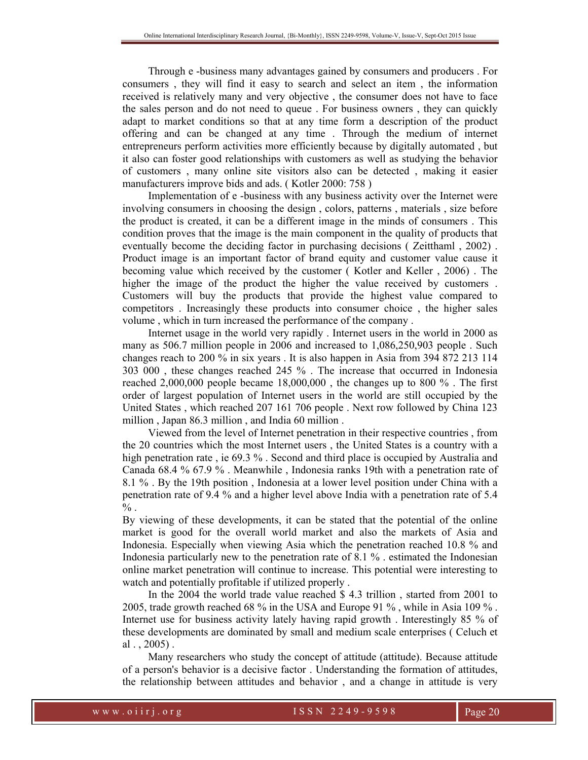Through e -business many advantages gained by consumers and producers . For consumers , they will find it easy to search and select an item , the information received is relatively many and very objective , the consumer does not have to face the sales person and do not need to queue . For business owners , they can quickly adapt to market conditions so that at any time form a description of the product offering and can be changed at any time . Through the medium of internet entrepreneurs perform activities more efficiently because by digitally automated , but it also can foster good relationships with customers as well as studying the behavior of customers , many online site visitors also can be detected , making it easier manufacturers improve bids and ads. ( Kotler 2000: 758 )

Implementation of e -business with any business activity over the Internet were involving consumers in choosing the design , colors, patterns , materials , size before the product is created, it can be a different image in the minds of consumers . This condition proves that the image is the main component in the quality of products that eventually become the deciding factor in purchasing decisions ( Zeitthaml , 2002) . Product image is an important factor of brand equity and customer value cause it becoming value which received by the customer ( Kotler and Keller , 2006) . The higher the image of the product the higher the value received by customers . Customers will buy the products that provide the highest value compared to competitors . Increasingly these products into consumer choice , the higher sales volume , which in turn increased the performance of the company .

Internet usage in the world very rapidly . Internet users in the world in 2000 as many as 506.7 million people in 2006 and increased to 1,086,250,903 people . Such changes reach to 200 % in six years . It is also happen in Asia from 394 872 213 114 303 000 , these changes reached 245 % . The increase that occurred in Indonesia reached 2,000,000 people became 18,000,000 , the changes up to 800 % . The first order of largest population of Internet users in the world are still occupied by the United States , which reached 207 161 706 people . Next row followed by China 123 million , Japan 86.3 million , and India 60 million .

Viewed from the level of Internet penetration in their respective countries , from the 20 countries which the most Internet users , the United States is a country with a high penetration rate, ie 69.3 %. Second and third place is occupied by Australia and Canada 68.4 % 67.9 % . Meanwhile , Indonesia ranks 19th with a penetration rate of 8.1 % . By the 19th position , Indonesia at a lower level position under China with a penetration rate of 9.4 % and a higher level above India with a penetration rate of 5.4  $\%$  .

By viewing of these developments, it can be stated that the potential of the online market is good for the overall world market and also the markets of Asia and Indonesia. Especially when viewing Asia which the penetration reached 10.8 % and Indonesia particularly new to the penetration rate of 8.1 % . estimated the Indonesian online market penetration will continue to increase. This potential were interesting to watch and potentially profitable if utilized properly .

In the 2004 the world trade value reached \$ 4.3 trillion , started from 2001 to 2005, trade growth reached 68 % in the USA and Europe 91 % , while in Asia 109 % . Internet use for business activity lately having rapid growth . Interestingly 85 % of these developments are dominated by small and medium scale enterprises ( Celuch et al  $.$ , 2005).

Many researchers who study the concept of attitude (attitude). Because attitude of a person's behavior is a decisive factor . Understanding the formation of attitudes, the relationship between attitudes and behavior , and a change in attitude is very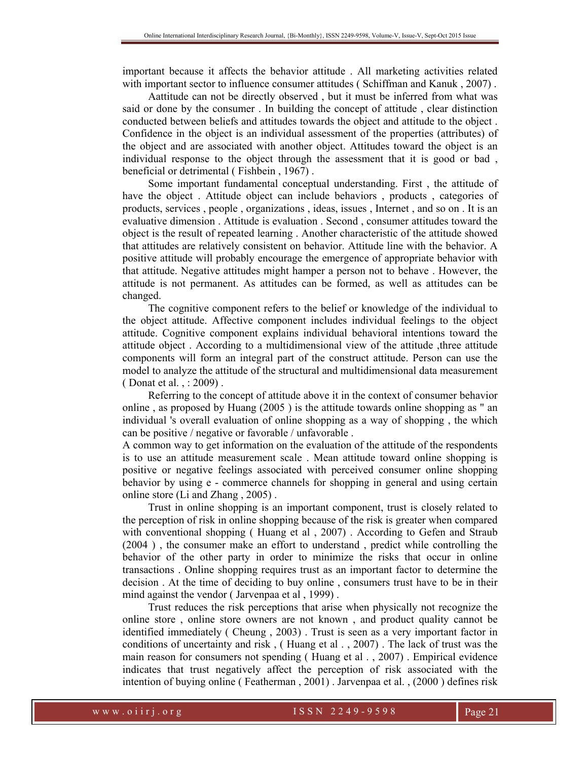important because it affects the behavior attitude . All marketing activities related with important sector to influence consumer attitudes (Schiffman and Kanuk, 2007).

Aattitude can not be directly observed , but it must be inferred from what was said or done by the consumer . In building the concept of attitude , clear distinction conducted between beliefs and attitudes towards the object and attitude to the object . Confidence in the object is an individual assessment of the properties (attributes) of the object and are associated with another object. Attitudes toward the object is an individual response to the object through the assessment that it is good or bad , beneficial or detrimental ( Fishbein , 1967) .

Some important fundamental conceptual understanding. First , the attitude of have the object . Attitude object can include behaviors , products , categories of products, services , people , organizations , ideas, issues , Internet , and so on . It is an evaluative dimension . Attitude is evaluation . Second , consumer attitudes toward the object is the result of repeated learning . Another characteristic of the attitude showed that attitudes are relatively consistent on behavior. Attitude line with the behavior. A positive attitude will probably encourage the emergence of appropriate behavior with that attitude. Negative attitudes might hamper a person not to behave . However, the attitude is not permanent. As attitudes can be formed, as well as attitudes can be changed.

The cognitive component refers to the belief or knowledge of the individual to the object attitude. Affective component includes individual feelings to the object attitude. Cognitive component explains individual behavioral intentions toward the attitude object . According to a multidimensional view of the attitude ,three attitude components will form an integral part of the construct attitude. Person can use the model to analyze the attitude of the structural and multidimensional data measurement ( Donat et al. , : 2009) .

Referring to the concept of attitude above it in the context of consumer behavior online , as proposed by Huang (2005 ) is the attitude towards online shopping as " an individual 's overall evaluation of online shopping as a way of shopping , the which can be positive / negative or favorable / unfavorable .

A common way to get information on the evaluation of the attitude of the respondents is to use an attitude measurement scale . Mean attitude toward online shopping is positive or negative feelings associated with perceived consumer online shopping behavior by using e - commerce channels for shopping in general and using certain online store (Li and Zhang , 2005) .

Trust in online shopping is an important component, trust is closely related to the perception of risk in online shopping because of the risk is greater when compared with conventional shopping ( Huang et al , 2007) . According to Gefen and Straub (2004 ) , the consumer make an effort to understand , predict while controlling the behavior of the other party in order to minimize the risks that occur in online transactions . Online shopping requires trust as an important factor to determine the decision . At the time of deciding to buy online , consumers trust have to be in their mind against the vendor ( Jarvenpaa et al , 1999) .

Trust reduces the risk perceptions that arise when physically not recognize the online store , online store owners are not known , and product quality cannot be identified immediately ( Cheung , 2003) . Trust is seen as a very important factor in conditions of uncertainty and risk , ( Huang et al . , 2007) . The lack of trust was the main reason for consumers not spending ( Huang et al . , 2007) . Empirical evidence indicates that trust negatively affect the perception of risk associated with the intention of buying online ( Featherman , 2001) . Jarvenpaa et al. , (2000 ) defines risk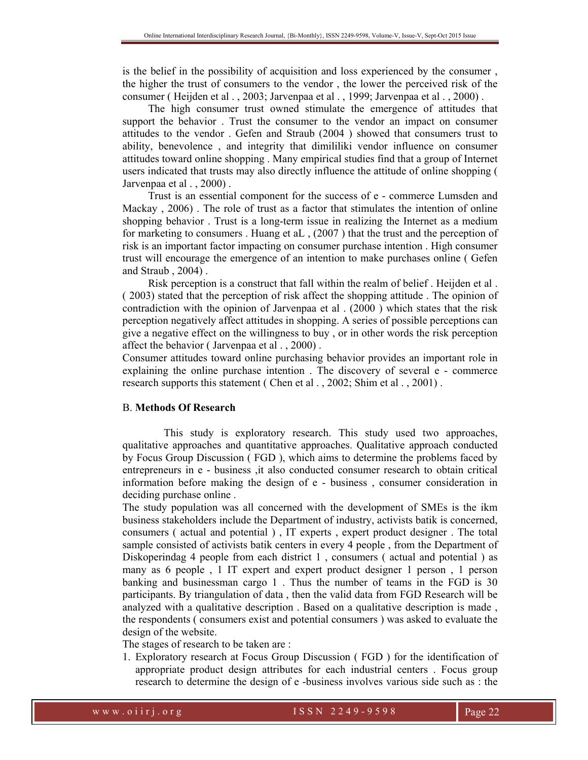is the belief in the possibility of acquisition and loss experienced by the consumer , the higher the trust of consumers to the vendor , the lower the perceived risk of the consumer ( Heijden et al . , 2003; Jarvenpaa et al . , 1999; Jarvenpaa et al . , 2000) .

The high consumer trust owned stimulate the emergence of attitudes that support the behavior . Trust the consumer to the vendor an impact on consumer attitudes to the vendor . Gefen and Straub (2004 ) showed that consumers trust to ability, benevolence , and integrity that dimililiki vendor influence on consumer attitudes toward online shopping . Many empirical studies find that a group of Internet users indicated that trusts may also directly influence the attitude of online shopping ( Jarvenpaa et al., 2000).

Trust is an essential component for the success of e - commerce Lumsden and Mackay , 2006) . The role of trust as a factor that stimulates the intention of online shopping behavior . Trust is a long-term issue in realizing the Internet as a medium for marketing to consumers . Huang et aL , (2007 ) that the trust and the perception of risk is an important factor impacting on consumer purchase intention . High consumer trust will encourage the emergence of an intention to make purchases online ( Gefen and Straub , 2004) .

Risk perception is a construct that fall within the realm of belief . Heijden et al . ( 2003) stated that the perception of risk affect the shopping attitude . The opinion of contradiction with the opinion of Jarvenpaa et al . (2000 ) which states that the risk perception negatively affect attitudes in shopping. A series of possible perceptions can give a negative effect on the willingness to buy , or in other words the risk perception affect the behavior ( Jarvenpaa et al . , 2000) .

Consumer attitudes toward online purchasing behavior provides an important role in explaining the online purchase intention . The discovery of several e - commerce research supports this statement (Chen et al., 2002; Shim et al., 2001).

#### B. **Methods Of Research**

 This study is exploratory research. This study used two approaches, qualitative approaches and quantitative approaches. Qualitative approach conducted by Focus Group Discussion ( FGD ), which aims to determine the problems faced by entrepreneurs in e - business ,it also conducted consumer research to obtain critical information before making the design of e - business , consumer consideration in deciding purchase online .

The study population was all concerned with the development of SMEs is the ikm business stakeholders include the Department of industry, activists batik is concerned, consumers ( actual and potential ) , IT experts , expert product designer . The total sample consisted of activists batik centers in every 4 people , from the Department of Diskoperindag 4 people from each district 1 , consumers ( actual and potential ) as many as 6 people , 1 IT expert and expert product designer 1 person , 1 person banking and businessman cargo 1 . Thus the number of teams in the FGD is 30 participants. By triangulation of data , then the valid data from FGD Research will be analyzed with a qualitative description . Based on a qualitative description is made , the respondents ( consumers exist and potential consumers ) was asked to evaluate the design of the website.

The stages of research to be taken are :

1. Exploratory research at Focus Group Discussion ( FGD ) for the identification of appropriate product design attributes for each industrial centers . Focus group research to determine the design of e -business involves various side such as : the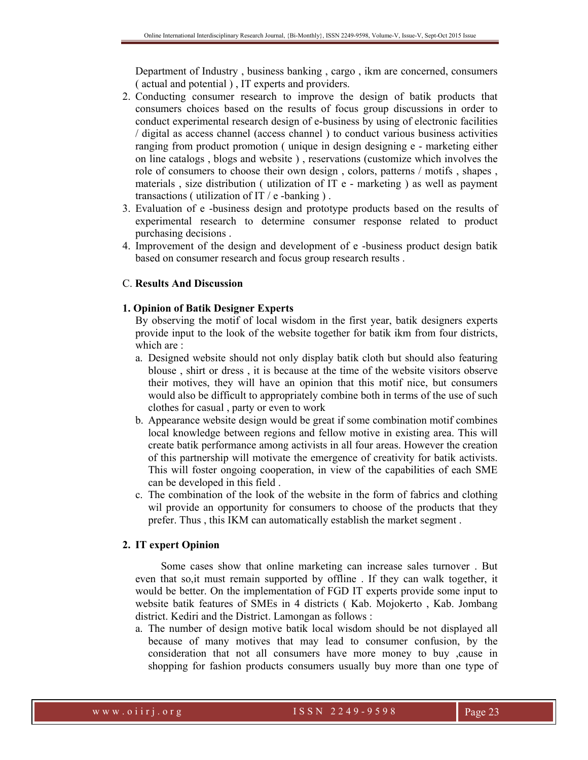Department of Industry , business banking , cargo , ikm are concerned, consumers ( actual and potential ) , IT experts and providers.

- 2. Conducting consumer research to improve the design of batik products that consumers choices based on the results of focus group discussions in order to conduct experimental research design of e-business by using of electronic facilities / digital as access channel (access channel ) to conduct various business activities ranging from product promotion ( unique in design designing e - marketing either on line catalogs , blogs and website ) , reservations (customize which involves the role of consumers to choose their own design , colors, patterns / motifs , shapes , materials , size distribution ( utilization of IT e - marketing ) as well as payment transactions ( utilization of IT /  $e$  -banking ).
- 3. Evaluation of e -business design and prototype products based on the results of experimental research to determine consumer response related to product purchasing decisions .
- 4. Improvement of the design and development of e -business product design batik based on consumer research and focus group research results .

## C. **Results And Discussion**

## **1. Opinion of Batik Designer Experts**

By observing the motif of local wisdom in the first year, batik designers experts provide input to the look of the website together for batik ikm from four districts, which are  $\cdot$ 

- a. Designed website should not only display batik cloth but should also featuring blouse , shirt or dress , it is because at the time of the website visitors observe their motives, they will have an opinion that this motif nice, but consumers would also be difficult to appropriately combine both in terms of the use of such clothes for casual , party or even to work
- b. Appearance website design would be great if some combination motif combines local knowledge between regions and fellow motive in existing area. This will create batik performance among activists in all four areas. However the creation of this partnership will motivate the emergence of creativity for batik activists. This will foster ongoing cooperation, in view of the capabilities of each SME can be developed in this field .
- c. The combination of the look of the website in the form of fabrics and clothing wil provide an opportunity for consumers to choose of the products that they prefer. Thus , this IKM can automatically establish the market segment .

## **2. IT expert Opinion**

Some cases show that online marketing can increase sales turnover . But even that so,it must remain supported by offline . If they can walk together, it would be better. On the implementation of FGD IT experts provide some input to website batik features of SMEs in 4 districts ( Kab. Mojokerto , Kab. Jombang district. Kediri and the District. Lamongan as follows :

a. The number of design motive batik local wisdom should be not displayed all because of many motives that may lead to consumer confusion, by the consideration that not all consumers have more money to buy ,cause in shopping for fashion products consumers usually buy more than one type of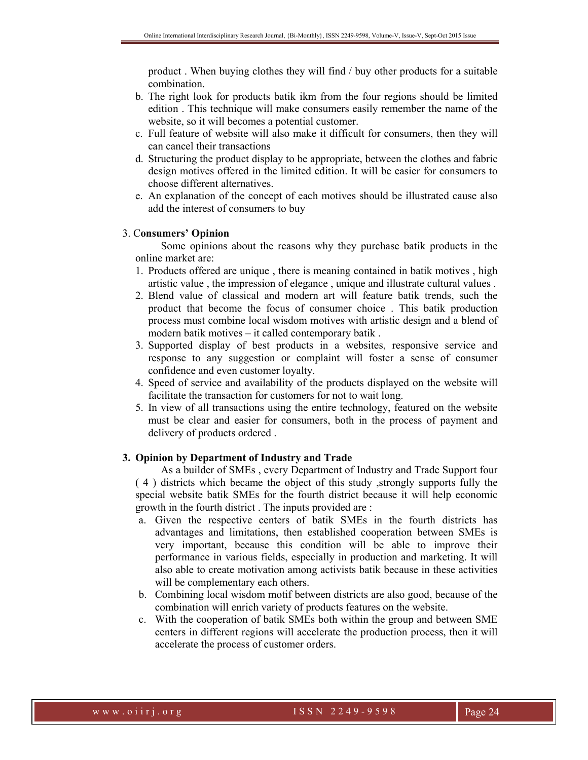product . When buying clothes they will find / buy other products for a suitable combination.

- b. The right look for products batik ikm from the four regions should be limited edition . This technique will make consumers easily remember the name of the website, so it will becomes a potential customer.
- c. Full feature of website will also make it difficult for consumers, then they will can cancel their transactions
- d. Structuring the product display to be appropriate, between the clothes and fabric design motives offered in the limited edition. It will be easier for consumers to choose different alternatives.
- e. An explanation of the concept of each motives should be illustrated cause also add the interest of consumers to buy

## 3. C**onsumers' Opinion**

Some opinions about the reasons why they purchase batik products in the online market are:

- 1. Products offered are unique , there is meaning contained in batik motives , high artistic value , the impression of elegance , unique and illustrate cultural values .
- 2. Blend value of classical and modern art will feature batik trends, such the product that become the focus of consumer choice . This batik production process must combine local wisdom motives with artistic design and a blend of modern batik motives – it called contemporary batik .
- 3. Supported display of best products in a websites, responsive service and response to any suggestion or complaint will foster a sense of consumer confidence and even customer loyalty.
- 4. Speed of service and availability of the products displayed on the website will facilitate the transaction for customers for not to wait long.
- 5. In view of all transactions using the entire technology, featured on the website must be clear and easier for consumers, both in the process of payment and delivery of products ordered .

## **3. Opinion by Department of Industry and Trade**

As a builder of SMEs , every Department of Industry and Trade Support four ( 4 ) districts which became the object of this study ,strongly supports fully the special website batik SMEs for the fourth district because it will help economic growth in the fourth district . The inputs provided are :

- a. Given the respective centers of batik SMEs in the fourth districts has advantages and limitations, then established cooperation between SMEs is very important, because this condition will be able to improve their performance in various fields, especially in production and marketing. It will also able to create motivation among activists batik because in these activities will be complementary each others.
- b. Combining local wisdom motif between districts are also good, because of the combination will enrich variety of products features on the website.
- c. With the cooperation of batik SMEs both within the group and between SME centers in different regions will accelerate the production process, then it will accelerate the process of customer orders.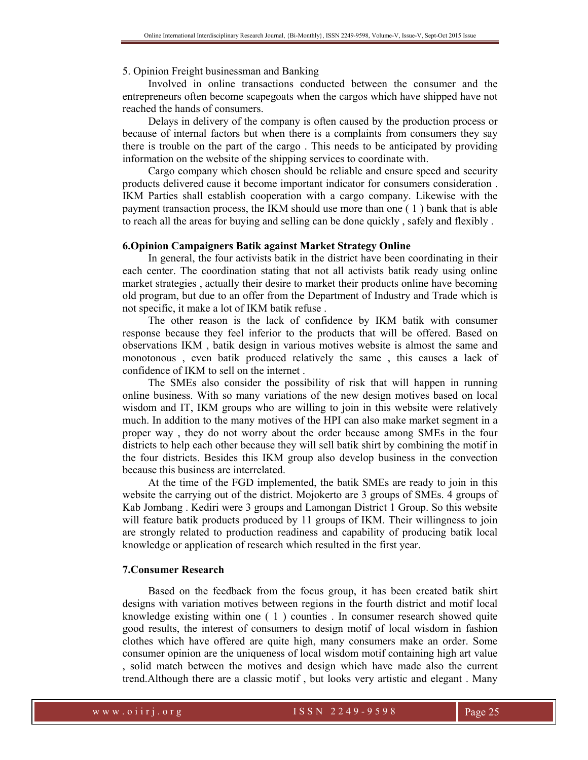#### 5. Opinion Freight businessman and Banking

Involved in online transactions conducted between the consumer and the entrepreneurs often become scapegoats when the cargos which have shipped have not reached the hands of consumers.

Delays in delivery of the company is often caused by the production process or because of internal factors but when there is a complaints from consumers they say there is trouble on the part of the cargo . This needs to be anticipated by providing information on the website of the shipping services to coordinate with.

Cargo company which chosen should be reliable and ensure speed and security products delivered cause it become important indicator for consumers consideration . IKM Parties shall establish cooperation with a cargo company. Likewise with the payment transaction process, the IKM should use more than one ( 1 ) bank that is able to reach all the areas for buying and selling can be done quickly , safely and flexibly .

## **6.Opinion Campaigners Batik against Market Strategy Online**

In general, the four activists batik in the district have been coordinating in their each center. The coordination stating that not all activists batik ready using online market strategies , actually their desire to market their products online have becoming old program, but due to an offer from the Department of Industry and Trade which is not specific, it make a lot of IKM batik refuse .

The other reason is the lack of confidence by IKM batik with consumer response because they feel inferior to the products that will be offered. Based on observations IKM , batik design in various motives website is almost the same and monotonous , even batik produced relatively the same , this causes a lack of confidence of IKM to sell on the internet .

The SMEs also consider the possibility of risk that will happen in running online business. With so many variations of the new design motives based on local wisdom and IT, IKM groups who are willing to join in this website were relatively much. In addition to the many motives of the HPI can also make market segment in a proper way , they do not worry about the order because among SMEs in the four districts to help each other because they will sell batik shirt by combining the motif in the four districts. Besides this IKM group also develop business in the convection because this business are interrelated.

At the time of the FGD implemented, the batik SMEs are ready to join in this website the carrying out of the district. Mojokerto are 3 groups of SMEs. 4 groups of Kab Jombang . Kediri were 3 groups and Lamongan District 1 Group. So this website will feature batik products produced by 11 groups of IKM. Their willingness to join are strongly related to production readiness and capability of producing batik local knowledge or application of research which resulted in the first year.

## **7.Consumer Research**

Based on the feedback from the focus group, it has been created batik shirt designs with variation motives between regions in the fourth district and motif local knowledge existing within one ( 1 ) counties . In consumer research showed quite good results, the interest of consumers to design motif of local wisdom in fashion clothes which have offered are quite high, many consumers make an order. Some consumer opinion are the uniqueness of local wisdom motif containing high art value , solid match between the motives and design which have made also the current trend.Although there are a classic motif , but looks very artistic and elegant . Many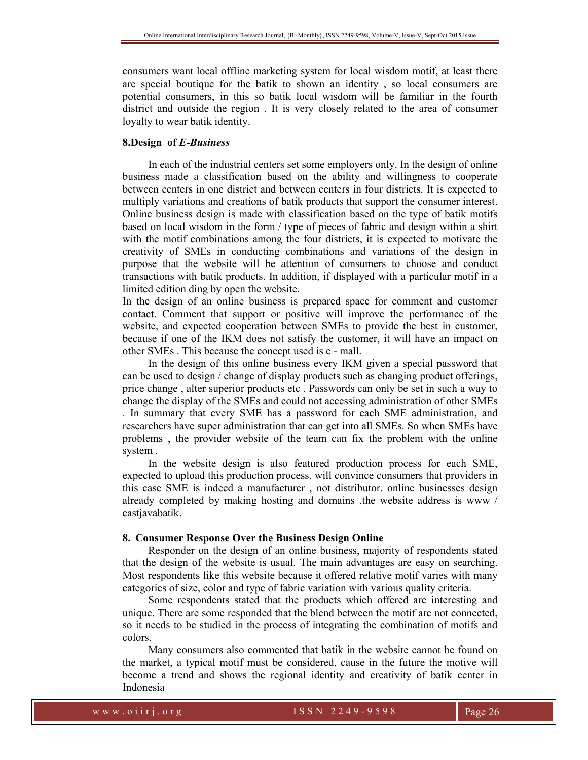consumers want local offline marketing system for local wisdom motif, at least there are special boutique for the batik to shown an identity , so local consumers are potential consumers, in this so batik local wisdom will be familiar in the fourth district and outside the region . It is very closely related to the area of consumer loyalty to wear batik identity.

## **8.Design of** *E-Business*

In each of the industrial centers set some employers only. In the design of online business made a classification based on the ability and willingness to cooperate between centers in one district and between centers in four districts. It is expected to multiply variations and creations of batik products that support the consumer interest. Online business design is made with classification based on the type of batik motifs based on local wisdom in the form / type of pieces of fabric and design within a shirt with the motif combinations among the four districts, it is expected to motivate the creativity of SMEs in conducting combinations and variations of the design in purpose that the website will be attention of consumers to choose and conduct transactions with batik products. In addition, if displayed with a particular motif in a limited edition ding by open the website.

In the design of an online business is prepared space for comment and customer contact. Comment that support or positive will improve the performance of the website, and expected cooperation between SMEs to provide the best in customer, because if one of the IKM does not satisfy the customer, it will have an impact on other SMEs . This because the concept used is e - mall.

In the design of this online business every IKM given a special password that can be used to design / change of display products such as changing product offerings, price change , alter superior products etc . Passwords can only be set in such a way to change the display of the SMEs and could not accessing administration of other SMEs . In summary that every SME has a password for each SME administration, and researchers have super administration that can get into all SMEs. So when SMEs have problems , the provider website of the team can fix the problem with the online system .

In the website design is also featured production process for each SME, expected to upload this production process, will convince consumers that providers in this case SME is indeed a manufacturer , not distributor. online businesses design already completed by making hosting and domains ,the website address is www / eastiavabatik.

#### **8. Consumer Response Over the Business Design Online**

Responder on the design of an online business, majority of respondents stated that the design of the website is usual. The main advantages are easy on searching. Most respondents like this website because it offered relative motif varies with many categories of size, color and type of fabric variation with various quality criteria.

Some respondents stated that the products which offered are interesting and unique. There are some responded that the blend between the motif are not connected, so it needs to be studied in the process of integrating the combination of motifs and colors.

Many consumers also commented that batik in the website cannot be found on the market, a typical motif must be considered, cause in the future the motive will become a trend and shows the regional identity and creativity of batik center in Indonesia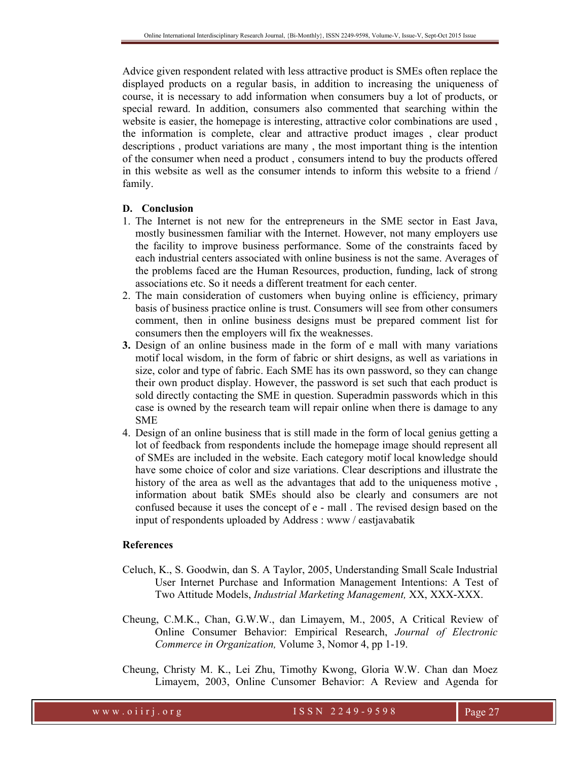Advice given respondent related with less attractive product is SMEs often replace the displayed products on a regular basis, in addition to increasing the uniqueness of course, it is necessary to add information when consumers buy a lot of products, or special reward. In addition, consumers also commented that searching within the website is easier, the homepage is interesting, attractive color combinations are used , the information is complete, clear and attractive product images , clear product descriptions , product variations are many , the most important thing is the intention of the consumer when need a product , consumers intend to buy the products offered in this website as well as the consumer intends to inform this website to a friend / family.

# **D. Conclusion**

- 1. The Internet is not new for the entrepreneurs in the SME sector in East Java, mostly businessmen familiar with the Internet. However, not many employers use the facility to improve business performance. Some of the constraints faced by each industrial centers associated with online business is not the same. Averages of the problems faced are the Human Resources, production, funding, lack of strong associations etc. So it needs a different treatment for each center.
- 2. The main consideration of customers when buying online is efficiency, primary basis of business practice online is trust. Consumers will see from other consumers comment, then in online business designs must be prepared comment list for consumers then the employers will fix the weaknesses.
- **3.** Design of an online business made in the form of e mall with many variations motif local wisdom, in the form of fabric or shirt designs, as well as variations in size, color and type of fabric. Each SME has its own password, so they can change their own product display. However, the password is set such that each product is sold directly contacting the SME in question. Superadmin passwords which in this case is owned by the research team will repair online when there is damage to any SME
- 4. Design of an online business that is still made in the form of local genius getting a lot of feedback from respondents include the homepage image should represent all of SMEs are included in the website. Each category motif local knowledge should have some choice of color and size variations. Clear descriptions and illustrate the history of the area as well as the advantages that add to the uniqueness motive , information about batik SMEs should also be clearly and consumers are not confused because it uses the concept of e - mall . The revised design based on the input of respondents uploaded by Address : www / eastjavabatik

## **References**

- Celuch, K., S. Goodwin, dan S. A Taylor, 2005, Understanding Small Scale Industrial User Internet Purchase and Information Management Intentions: A Test of Two Attitude Models, *Industrial Marketing Management,* XX, XXX-XXX.
- Cheung, C.M.K., Chan, G.W.W., dan Limayem, M., 2005, A Critical Review of Online Consumer Behavior: Empirical Research, *Journal of Electronic Commerce in Organization,* Volume 3, Nomor 4, pp 1-19.
- Cheung, Christy M. K., Lei Zhu, Timothy Kwong, Gloria W.W. Chan dan Moez Limayem, 2003, Online Cunsomer Behavior: A Review and Agenda for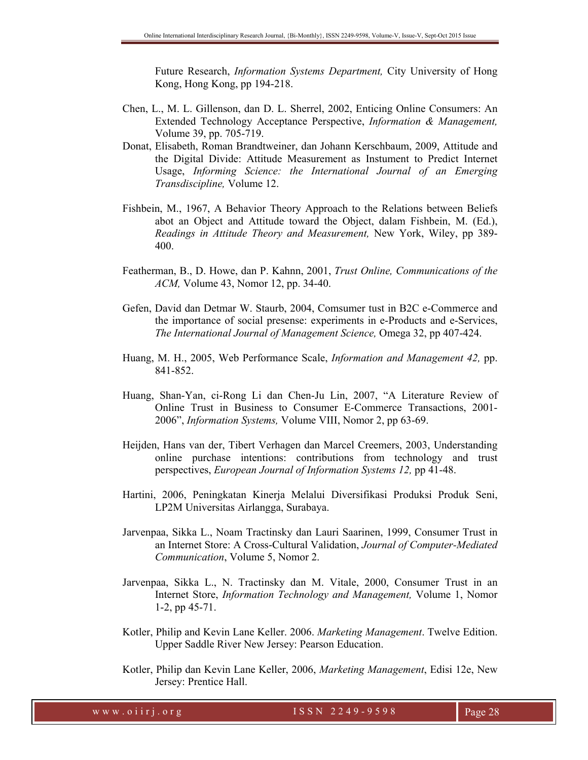Future Research, *Information Systems Department,* City University of Hong Kong, Hong Kong, pp 194-218.

- Chen, L., M. L. Gillenson, dan D. L. Sherrel, 2002, Enticing Online Consumers: An Extended Technology Acceptance Perspective, *Information & Management,* Volume 39, pp. 705-719.
- Donat, Elisabeth, Roman Brandtweiner, dan Johann Kerschbaum, 2009, Attitude and the Digital Divide: Attitude Measurement as Instument to Predict Internet Usage, *Informing Science: the International Journal of an Emerging Transdiscipline,* Volume 12.
- Fishbein, M., 1967, A Behavior Theory Approach to the Relations between Beliefs abot an Object and Attitude toward the Object, dalam Fishbein, M. (Ed.), *Readings in Attitude Theory and Measurement,* New York, Wiley, pp 389- 400.
- Featherman, B., D. Howe, dan P. Kahnn, 2001, *Trust Online, Communications of the ACM,* Volume 43, Nomor 12, pp. 34-40.
- Gefen, David dan Detmar W. Staurb, 2004, Comsumer tust in B2C e-Commerce and the importance of social presense: experiments in e-Products and e-Services, *The International Journal of Management Science,* Omega 32, pp 407-424.
- Huang, M. H., 2005, Web Performance Scale, *Information and Management 42,* pp. 841-852.
- Huang, Shan-Yan, ci-Rong Li dan Chen-Ju Lin, 2007, "A Literature Review of Online Trust in Business to Consumer E-Commerce Transactions, 2001- 2006", *Information Systems,* Volume VIII, Nomor 2, pp 63-69.
- Heijden, Hans van der, Tibert Verhagen dan Marcel Creemers, 2003, Understanding online purchase intentions: contributions from technology and trust perspectives, *European Journal of Information Systems 12,* pp 41-48.
- Hartini, 2006, Peningkatan Kinerja Melalui Diversifikasi Produksi Produk Seni, LP2M Universitas Airlangga, Surabaya.
- Jarvenpaa, Sikka L., Noam Tractinsky dan Lauri Saarinen, 1999, Consumer Trust in an Internet Store: A Cross-Cultural Validation, *Journal of Computer-Mediated Communication*, Volume 5, Nomor 2.
- Jarvenpaa, Sikka L., N. Tractinsky dan M. Vitale, 2000, Consumer Trust in an Internet Store, *Information Technology and Management,* Volume 1, Nomor 1-2, pp 45-71.
- Kotler, Philip and Kevin Lane Keller. 2006. *Marketing Management*. Twelve Edition. Upper Saddle River New Jersey: Pearson Education.
- Kotler, Philip dan Kevin Lane Keller, 2006, *Marketing Management*, Edisi 12e, New Jersey: Prentice Hall.